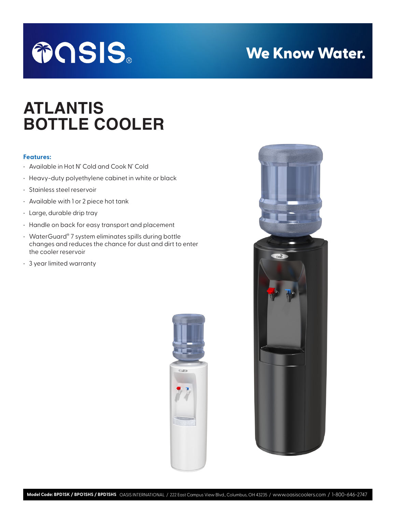# **MOSIS.**

## We Know Water.

## **ATLANTIS BOTTLE COOLER**

### **Features:**

- Available in Hot N' Cold and Cook N' Cold
- Heavy-duty polyethylene cabinet in white or black
- Stainless steel reservoir
- Available with 1 or 2 piece hot tank
- Large, durable drip tray
- Handle on back for easy transport and placement
- WaterGuard® 7 system eliminates spills during bottle changes and reduces the chance for dust and dirt to enter the cooler reservoir
- 3 year limited warranty